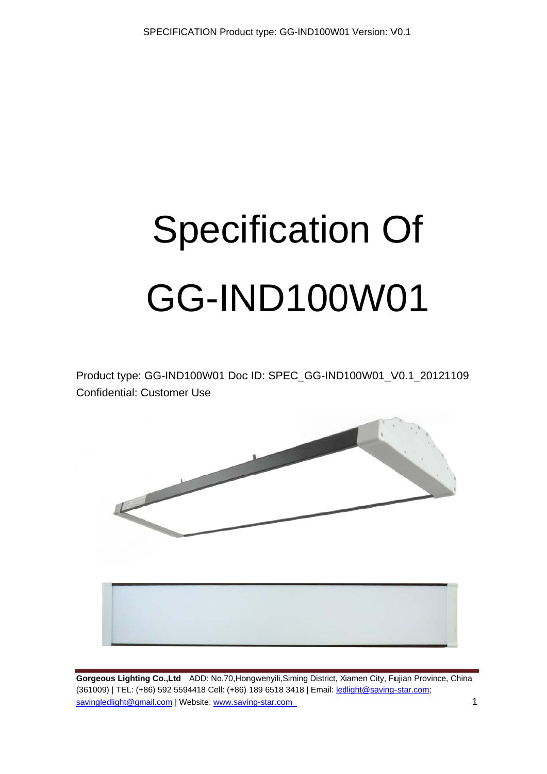# **Specification Of GG-IND100W01**

Product type: GG-IND100W01 Doc ID: SPEC\_GG-IND100W01\_V0.1\_20121109 Confidential: Customer Use

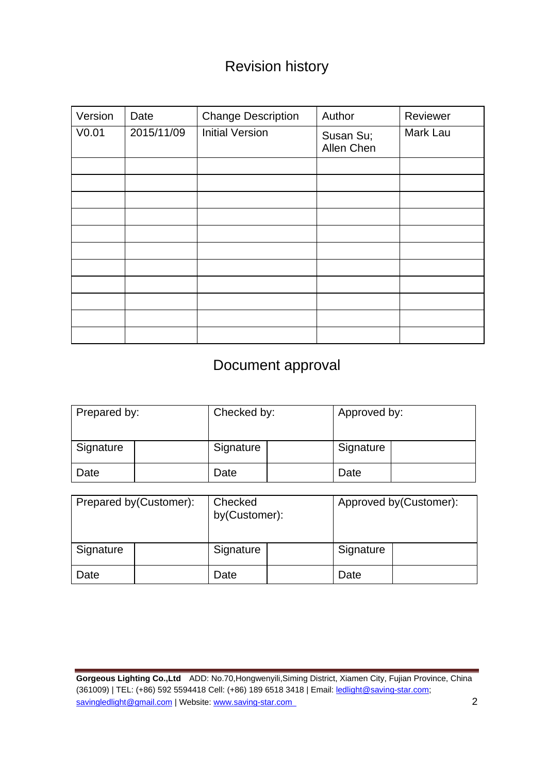## Revision history

| Version | Date       | <b>Change Description</b> | Author                  | Reviewer |
|---------|------------|---------------------------|-------------------------|----------|
| V0.01   | 2015/11/09 | <b>Initial Version</b>    | Susan Su;<br>Allen Chen | Mark Lau |
|         |            |                           |                         |          |
|         |            |                           |                         |          |
|         |            |                           |                         |          |
|         |            |                           |                         |          |
|         |            |                           |                         |          |
|         |            |                           |                         |          |
|         |            |                           |                         |          |
|         |            |                           |                         |          |
|         |            |                           |                         |          |
|         |            |                           |                         |          |
|         |            |                           |                         |          |

## Document approval

| Prepared by: | Checked by: | Approved by: |  |
|--------------|-------------|--------------|--|
| Signature    | Signature   | Signature    |  |
| Date         | Date        | Date         |  |

| Prepared by (Customer): |  | Checked<br>by(Customer): |  | Approved by (Customer): |  |
|-------------------------|--|--------------------------|--|-------------------------|--|
| Signature               |  | Signature                |  | Signature               |  |
| Date                    |  | Date                     |  | Date                    |  |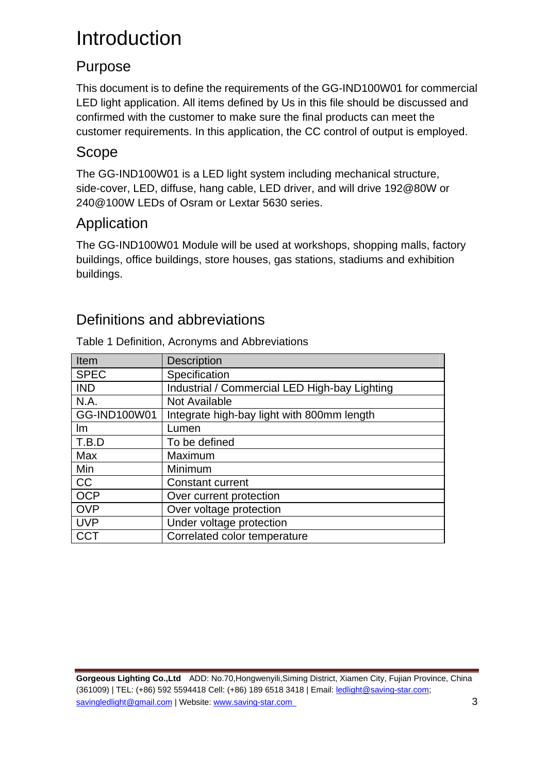# Introduction

#### Purpose

This document is to define the requirements of the GG-IND100W01 for commercial LED light application. All items defined by Us in this file should be discussed and confirmed with the customer to make sure the final products can meet the customer requirements. In this application, the CC control of output is employed.

#### Scope

The GG-IND100W01 is a LED light system including mechanical structure, side-cover, LED, diffuse, hang cable, LED driver, and will drive 192@80W or 240@100W LEDs of Osram or Lextar 5630 series.

#### Application

The GG-IND100W01 Module will be used at workshops, shopping malls, factory buildings, office buildings, store houses, gas stations, stadiums and exhibition buildings.

#### Definitions and abbreviations

| Item         | <b>Description</b>                            |
|--------------|-----------------------------------------------|
| <b>SPEC</b>  | Specification                                 |
| <b>IND</b>   | Industrial / Commercial LED High-bay Lighting |
| N.A.         | Not Available                                 |
| GG-IND100W01 | Integrate high-bay light with 800mm length    |
| Im           | Lumen                                         |
| T.B.D        | To be defined                                 |
| Max          | Maximum                                       |
| Min          | Minimum                                       |
| <b>CC</b>    | Constant current                              |
| <b>OCP</b>   | Over current protection                       |
| <b>OVP</b>   | Over voltage protection                       |
| <b>UVP</b>   | Under voltage protection                      |
| CCT          | Correlated color temperature                  |

Table 1 Definition, Acronyms and Abbreviations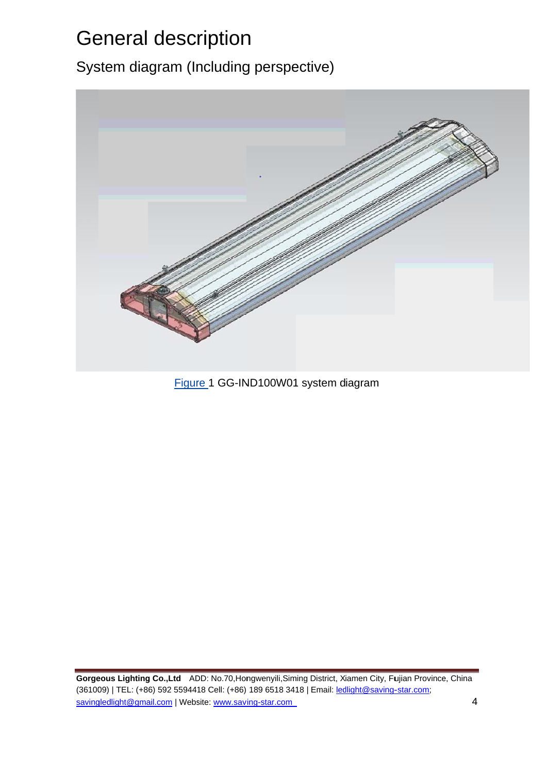# **General description**

System diagram (Including perspective)



Figure 1 GG-IND100W01 system diagram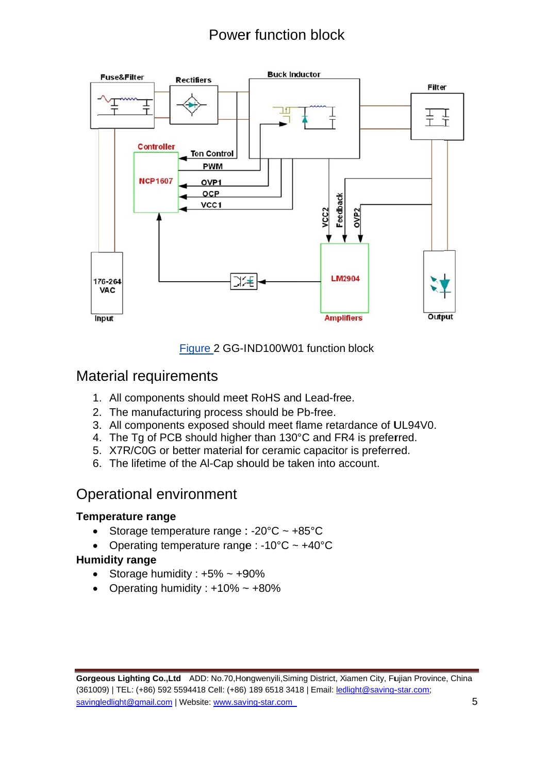## **Power function block**



Figure 2 GG-IND100W01 function block

#### **Material requirements**

- 1. All components should meet RoHS and Lead-free.
- 2. The manufacturing process should be Pb-free.
- 3. All components exposed should meet flame retardance of UL94V0.
- 4. The Tg of PCB should higher than 130°C and FR4 is preferred.
- 5. X7R/C0G or better material for ceramic capacitor is preferred.
- 6. The lifetime of the Al-Cap should be taken into account.

#### **Operational environment**

#### **Temperature range**

- $\bullet$ Storage temperature range : - $20^{\circ}$ C ~ +85 $^{\circ}$ C
- Operating temperature range : -10 $^{\circ}$ C ~ +40 $^{\circ}$ C

#### **Humidity range**

- Storage humidity:  $+5\% \sim +90\%$
- Operating humidity:  $+10\% \sim +80\%$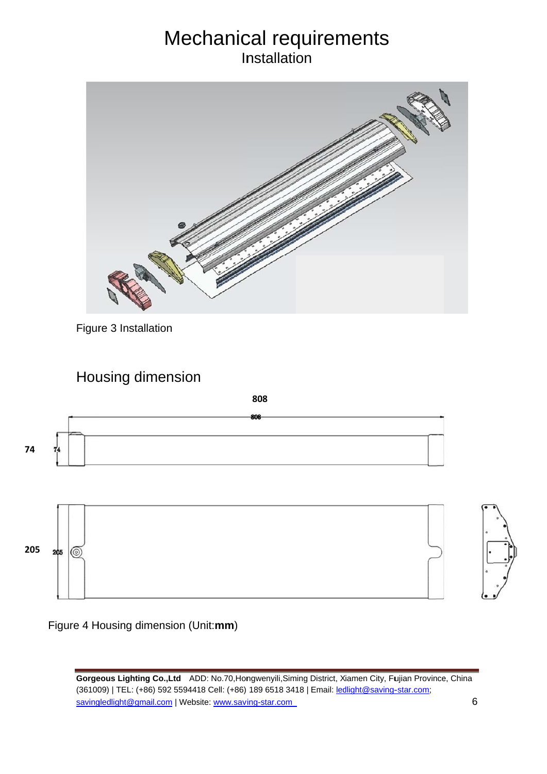## Mechanical requirements **Installation**



Figure 3 Installation

#### Housing dimension

**808**





Figure 4 Housing dimension (Unit:mm)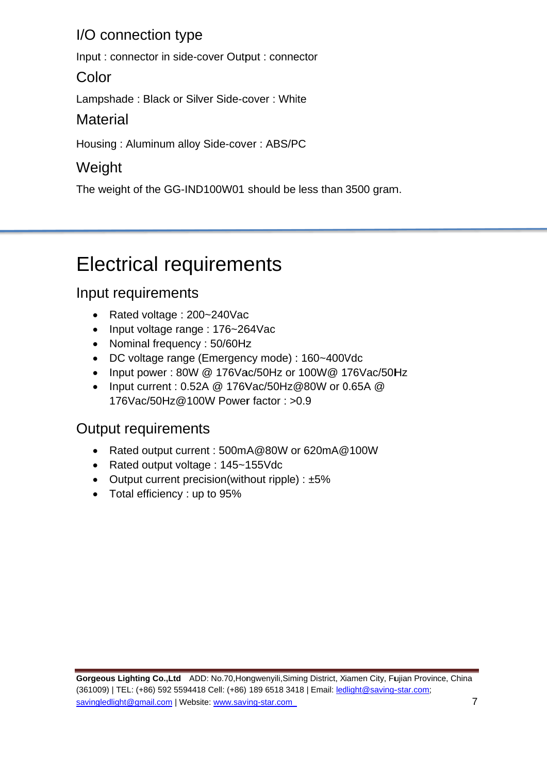#### I/O connection type

Input: connector in side-cover Output: connector

#### Color

Lampshade: Black or Silver Side-cover: White

#### **Material**

Housing: Aluminum alloy Side-cover: ABS/PC

## Weight

The weight of the GG-IND100W01 should be less than 3500 gram.

# **Electrical requirements**

## Input requirements

- Rated voltage: 200~240Vac  $\bullet$
- Input voltage range: 176~264Vac
- Nominal frequency: 50/60Hz
- DC voltage range (Emergency mode): 160~400Vdc
- Input power: 80W @ 176Vac/50Hz or 100W@ 176Vac/50Hz
- Input current : 0.52A @ 176Vac/50Hz@80W or 0.65A @ 176Vac/50Hz@100W Power factor: >0.9

#### **Output requirements**

- Rated output current : 500mA@80W or 620mA@100W
- Rated output voltage: 145~155Vdc
- Output current precision(without ripple) :  $\pm 5\%$
- Total efficiency : up to 95%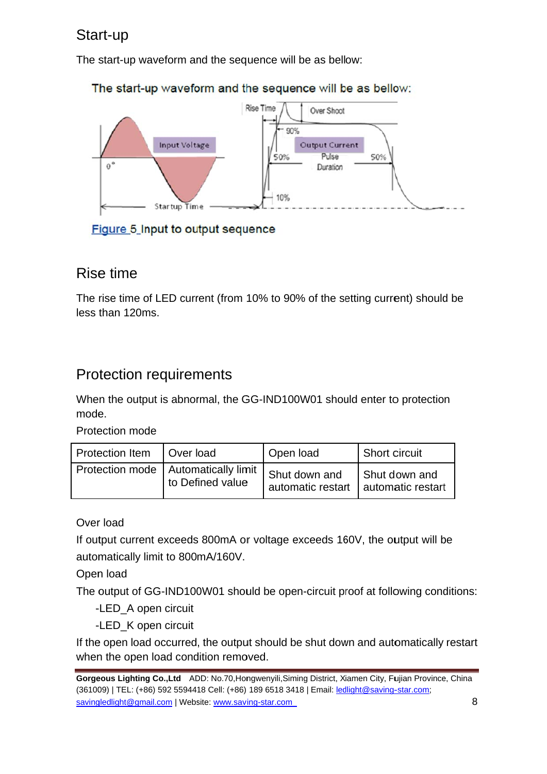#### Start-up

The start-up waveform and the sequence will be as bellow:



The start-up waveform and the sequence will be as bellow:

Figure 5 Input to output sequence

#### Rise time

The rise time of LED current (from 10% to 90% of the setting current) should be less than 120ms.

#### **Protection requirements**

When the output is abnormal, the GG-IND100W01 should enter to protection mode.

Protection mode

| Protection Item   Over load |                                       | Open load         | <sup>1</sup> Short circuit |
|-----------------------------|---------------------------------------|-------------------|----------------------------|
|                             | Protection mode   Automatically limit | I Shut down and   | Shut down and              |
|                             | to Defined value                      | automatic restart | automatic restart          |

Over load

If output current exceeds 800mA or voltage exceeds 160V, the output will be automatically limit to 800mA/160V.

Open load

The output of GG-IND100W01 should be open-circuit proof at following conditions:

-LED\_A open circuit

-LED\_K open circuit

If the open load occurred, the output should be shut down and automatically restart when the open load condition removed.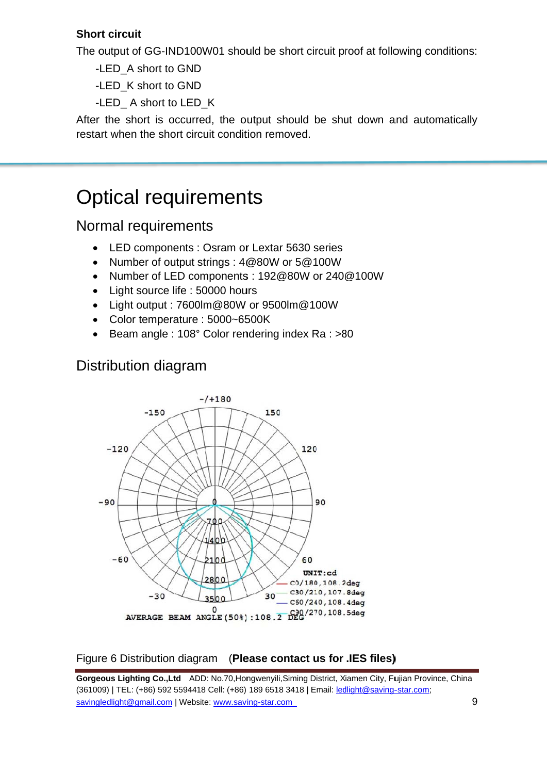#### **Short circuit**

The output of GG-IND100W01 should be short circuit proof at following conditions:

-LED A short to GND

-LED K short to GND

-LED\_ A short to LED\_K

After the short is occurred, the output should be shut down and automatically restart when the short circuit condition removed.

## **Optical requirements**

#### Normal requirements

- LED components: Osram or Lextar 5630 series
- Number of output strings: 4@80W or 5@100W  $\bullet$
- Number of LED components: 192@80W or 240@100W
- Light source life : 50000 hours
- Light output: 7600lm@80W or 9500lm@100W
- Color temperature : 5000~6500K
- Beam angle: 108° Color rendering index Ra: >80  $\bullet$

#### **Distribution diagram**



#### Figure 6 Distribution diagram (Please contact us for .IES files)